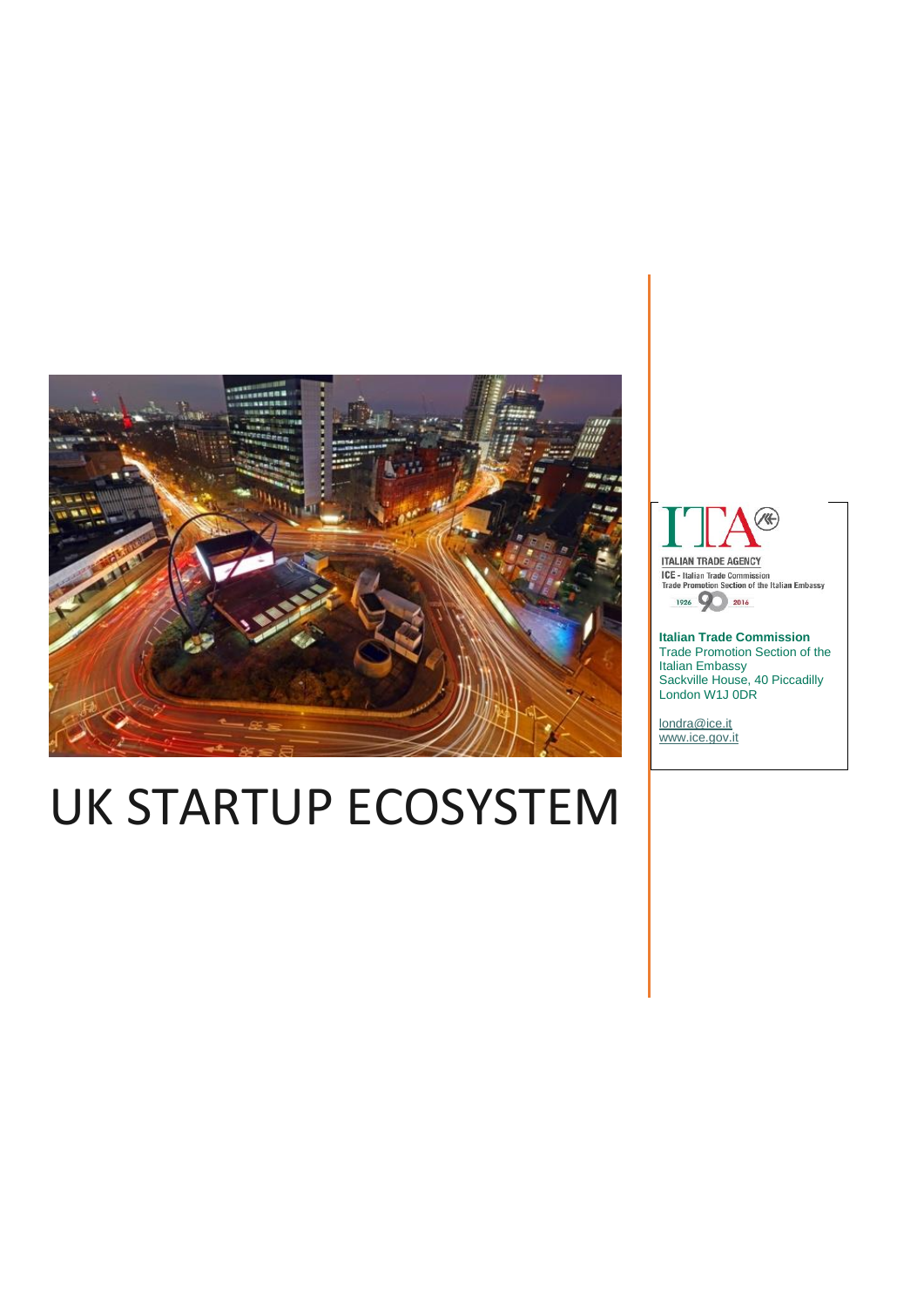

# UK STARTUP ECOSYSTEM



**ITALIAN TRADE AGENCY ICE - Italian Trade Commission<br>Trade Promotion Section of the Italian Embassy** 

1926 9 2016

**Italian Trade Commission** Trade Promotion Section of the Italian Embassy Sackville House, 40 Piccadilly London W1J 0DR

[londra@ice.it](mailto:londra@ice.it) [www.ice.gov.it](http://www.ice.gov.it/)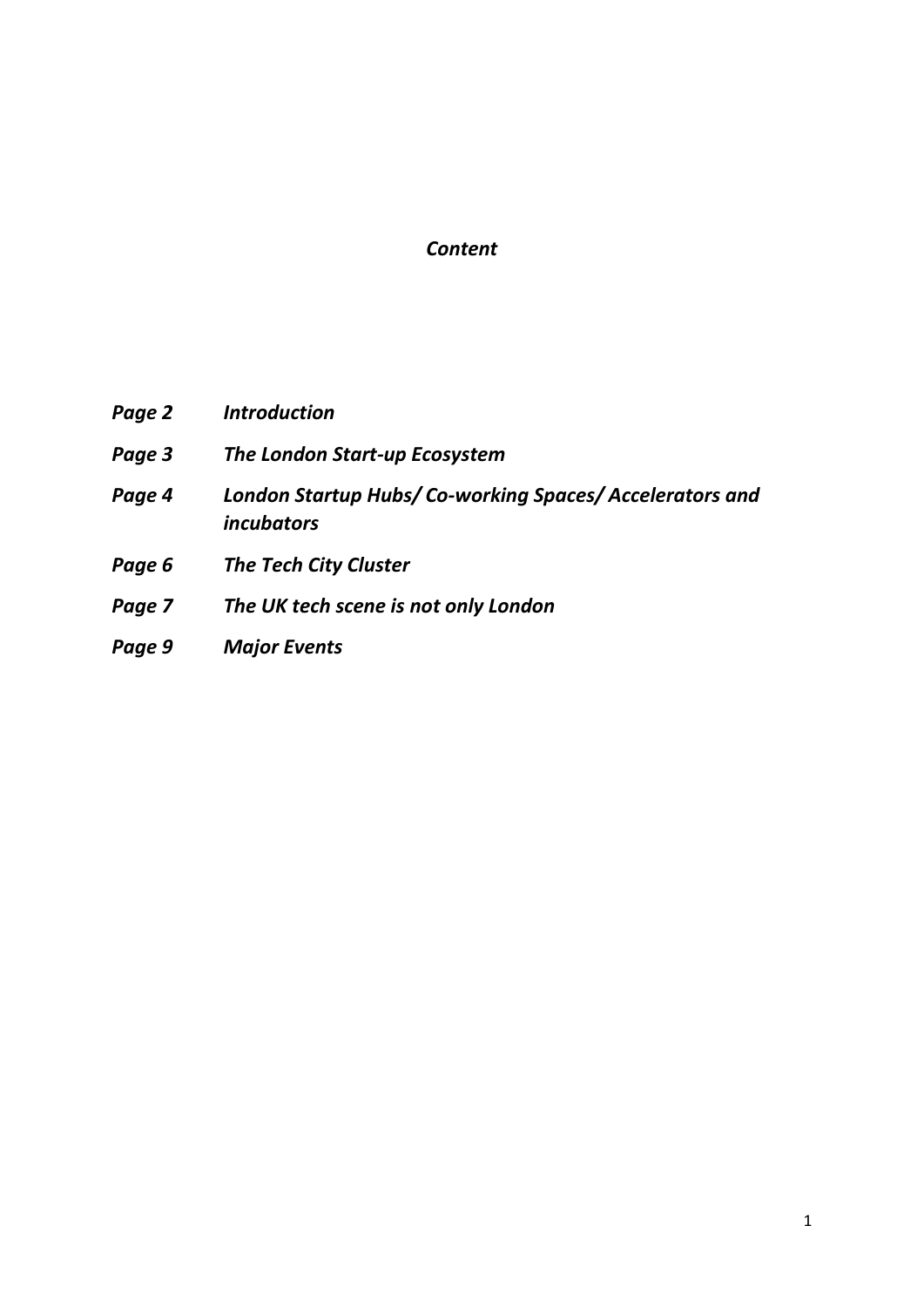### *Content*

| Page 2 | <b>Introduction</b>                                                         |
|--------|-----------------------------------------------------------------------------|
| Page 3 | The London Start-up Ecosystem                                               |
| Page 4 | London Startup Hubs/Co-working Spaces/Accelerators and<br><i>incubators</i> |
| Page 6 | <b>The Tech City Cluster</b>                                                |
| Page 7 | The UK tech scene is not only London                                        |
| Page 9 | <b>Major Events</b>                                                         |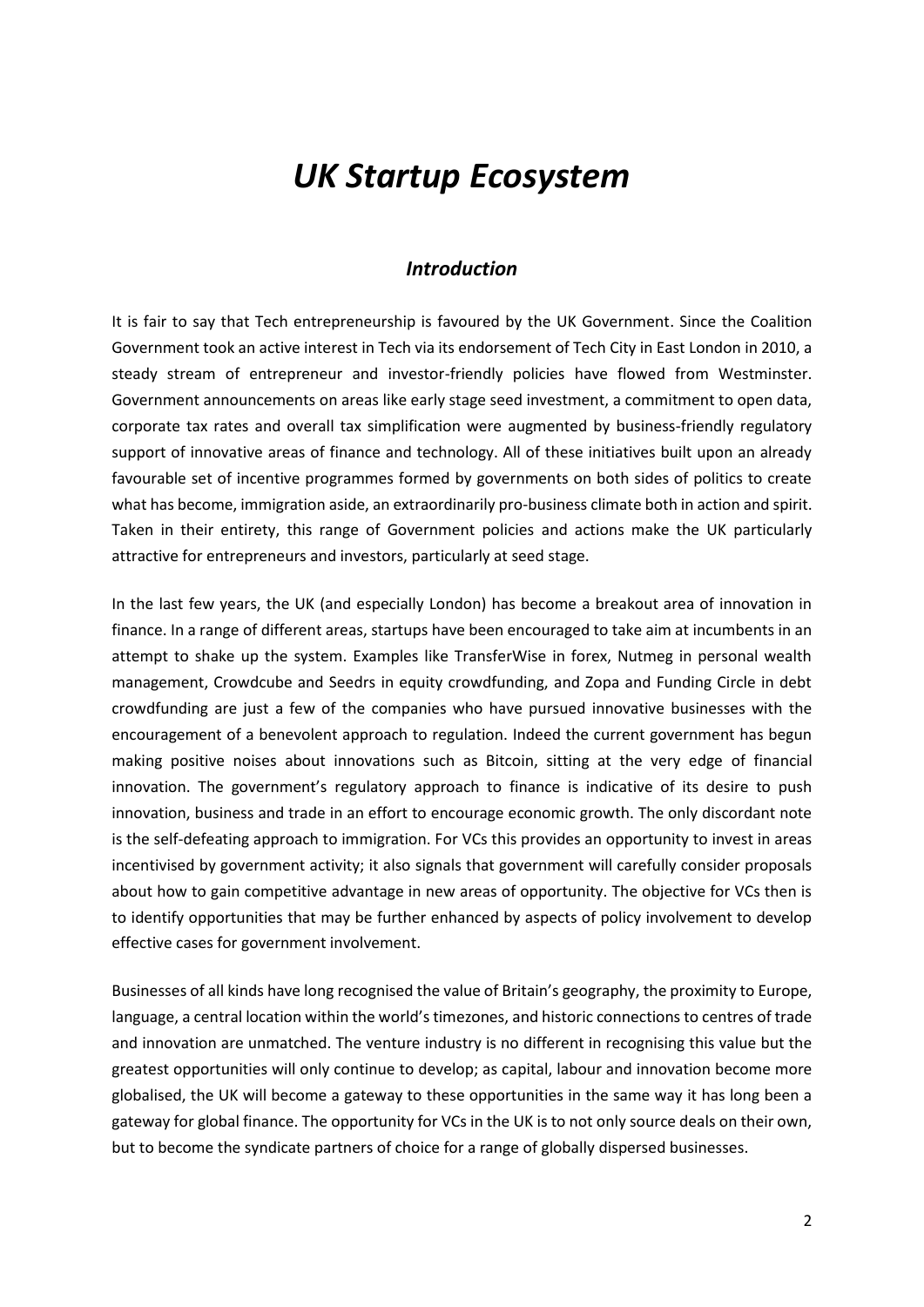## *UK Startup Ecosystem*

#### *Introduction*

It is fair to say that Tech entrepreneurship is favoured by the UK Government. Since the Coalition Government took an active interest in Tech via its endorsement of Tech City in East London in 2010, a steady stream of entrepreneur and investor-friendly policies have flowed from Westminster. Government announcements on areas like early stage seed investment, a commitment to open data, corporate tax rates and overall tax simplification were augmented by business-friendly regulatory support of innovative areas of finance and technology. All of these initiatives built upon an already favourable set of incentive programmes formed by governments on both sides of politics to create what has become, immigration aside, an extraordinarily pro-business climate both in action and spirit. Taken in their entirety, this range of Government policies and actions make the UK particularly attractive for entrepreneurs and investors, particularly at seed stage.

In the last few years, the UK (and especially London) has become a breakout area of innovation in finance. In a range of different areas, startups have been encouraged to take aim at incumbents in an attempt to shake up the system. Examples like TransferWise in forex, Nutmeg in personal wealth management, Crowdcube and Seedrs in equity crowdfunding, and Zopa and Funding Circle in debt crowdfunding are just a few of the companies who have pursued innovative businesses with the encouragement of a benevolent approach to regulation. Indeed the current government has begun making positive noises about innovations such as Bitcoin, sitting at the very edge of financial innovation. The government's regulatory approach to finance is indicative of its desire to push innovation, business and trade in an effort to encourage economic growth. The only discordant note is the self-defeating approach to immigration. For VCs this provides an opportunity to invest in areas incentivised by government activity; it also signals that government will carefully consider proposals about how to gain competitive advantage in new areas of opportunity. The objective for VCs then is to identify opportunities that may be further enhanced by aspects of policy involvement to develop effective cases for government involvement.

Businesses of all kinds have long recognised the value of Britain's geography, the proximity to Europe, language, a central location within the world's timezones, and historic connections to centres of trade and innovation are unmatched. The venture industry is no different in recognising this value but the greatest opportunities will only continue to develop; as capital, labour and innovation become more globalised, the UK will become a gateway to these opportunities in the same way it has long been a gateway for global finance. The opportunity for VCs in the UK is to not only source deals on their own, but to become the syndicate partners of choice for a range of globally dispersed businesses.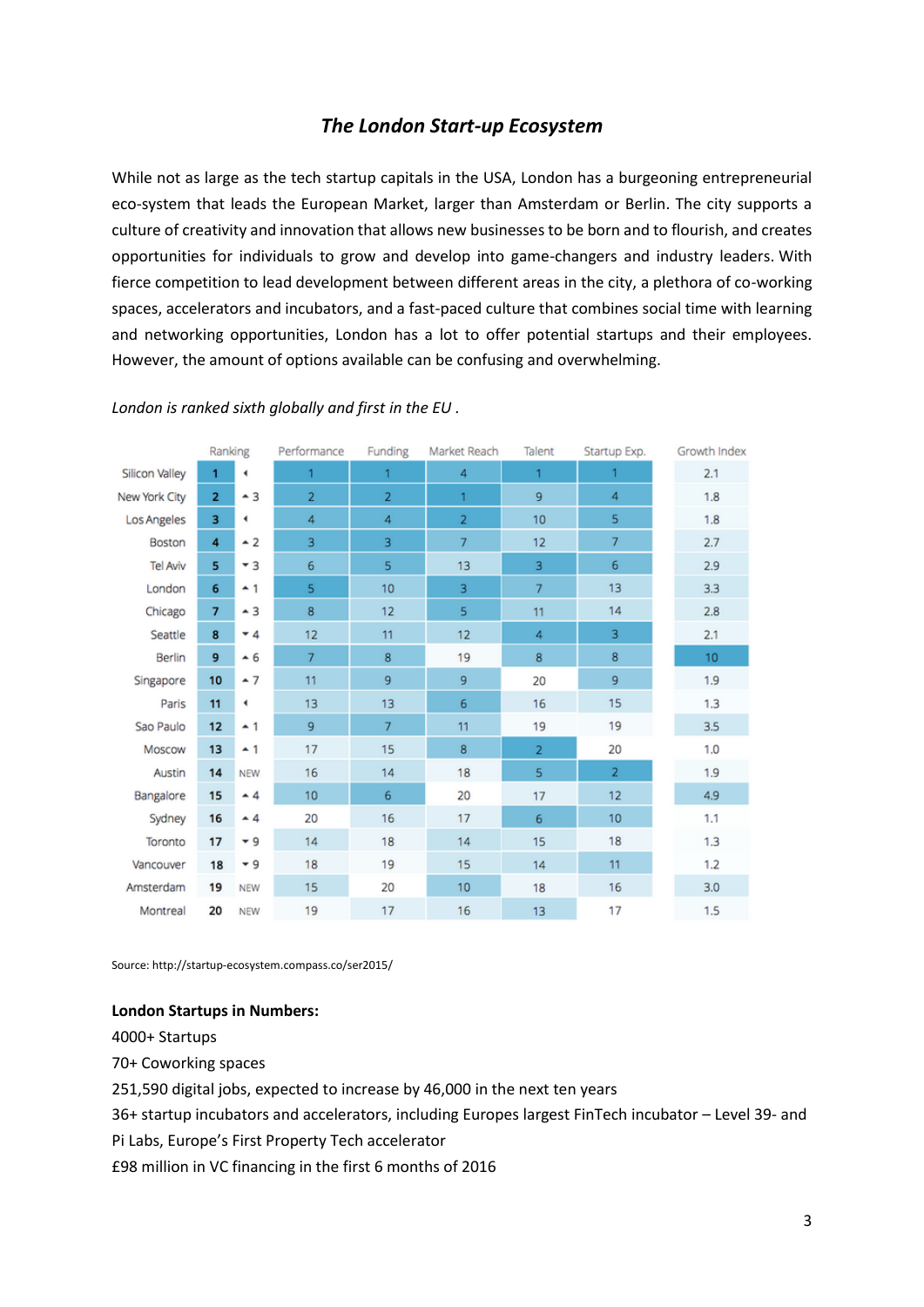#### *The London Start-up Ecosystem*

While not as large as the tech startup capitals in the USA, London has a burgeoning entrepreneurial eco-system that leads the European Market, larger than Amsterdam or Berlin. The city supports a culture of creativity and innovation that allows new businesses to be born and to flourish, and creates opportunities for individuals to grow and develop into game-changers and industry leaders. With fierce competition to lead development between different areas in the city, a plethora of co-working spaces, accelerators and incubators, and a fast-paced culture that combines social time with learning and networking opportunities, London has a lot to offer potential startups and their employees. However, the amount of options available can be confusing and overwhelming.

|                | Ranking        |                | Performance    | Funding        | Market Reach      | Talent         | Startup Exp.   | Growth Index |
|----------------|----------------|----------------|----------------|----------------|-------------------|----------------|----------------|--------------|
| Silicon Valley | 1              | ٠              | $\mathbf{1}$   | 1              | $\overline{4}$    | 1              | 1              | 2.1          |
| New York City  | $\overline{2}$ | $-3$           | $\overline{2}$ | $\overline{2}$ | 1                 | 9              | 4              | 1.8          |
| Los Angeles    | 3              | ۰              | 4              | 4              | $\overline{2}$    | 10             | 5              | 1.8          |
| Boston         | 4              | $\sim$ 2       | 3              | 3              | $\overline{7}$    | 12             | 7              | 2.7          |
| Tel Aviv       | 5              | $-3$           | 6              | 5              | 13                | 3              | 6              | 2.9          |
| London         | 6              | $-1$           | 5              | 10             | 3                 | 7              | 13             | 3.3          |
| Chicago        | $\overline{7}$ | $-3$           | 8              | 12             | 5                 | 11             | 14             | 2.8          |
| Seattle        | 8              | $-4$           | 12             | 11             | $12 \overline{ }$ | 4              | 3              | 2.1          |
| Berlin         | 9              | $\overline{6}$ | $\overline{7}$ | 8              | 19                | 8              | 8              | 10           |
| Singapore      | 10             | $\sim$ 7       | 11             | 9              | 9                 | 20             | 9              | 1.9          |
| Paris          | 11             | ٠              | 13             | 13             | 6                 | 16             | 15             | 1.3          |
| Sao Paulo      | 12             | $-1$           | 9              | $\overline{7}$ | 11                | 19             | 19             | 3.5          |
| Moscow         | 13             | $-1$           | 17             | 15             | 8                 | $\overline{2}$ | 20             | 1.0          |
| Austin         | 14             | <b>NEW</b>     | 16             | 14             | 18                | 5              | $\overline{2}$ | 1.9          |
| Bangalore      | 15             | $-4$           | 10             | 6              | 20                | 17             | 12             | 4.9          |
| Sydney         | 16             | $\sim$ 4       | 20             | 16             | 17                | 6              | 10             | 1.1          |
| Toronto        | 17             | $-9$           | 14             | 18             | 14                | 15             | 18             | 1.3          |
| Vancouver      | 18             | $-9$           | 18             | 19             | 15                | 14             | 11             | 1.2          |
| Amsterdam      | 19             | <b>NEW</b>     | 15             | 20             | 10 <sub>1</sub>   | 18             | 16             | 3.0          |
| Montreal       | 20             | <b>NEW</b>     | 19             | 17             | 16                | 13             | 17             | 1.5          |

#### *London is ranked sixth globally and first in the EU .*

Source: http://startup-ecosystem.compass.co/ser2015/

#### **London Startups in Numbers:**

4000+ Startups

70+ Coworking spaces

251,590 digital jobs, expected to increase by 46,000 in the next ten years

36+ startup incubators and accelerators, including Europes largest FinTech incubator – Level 39- and

Pi Labs, Europe's First Property Tech accelerator

£98 million in VC financing in the first 6 months of 2016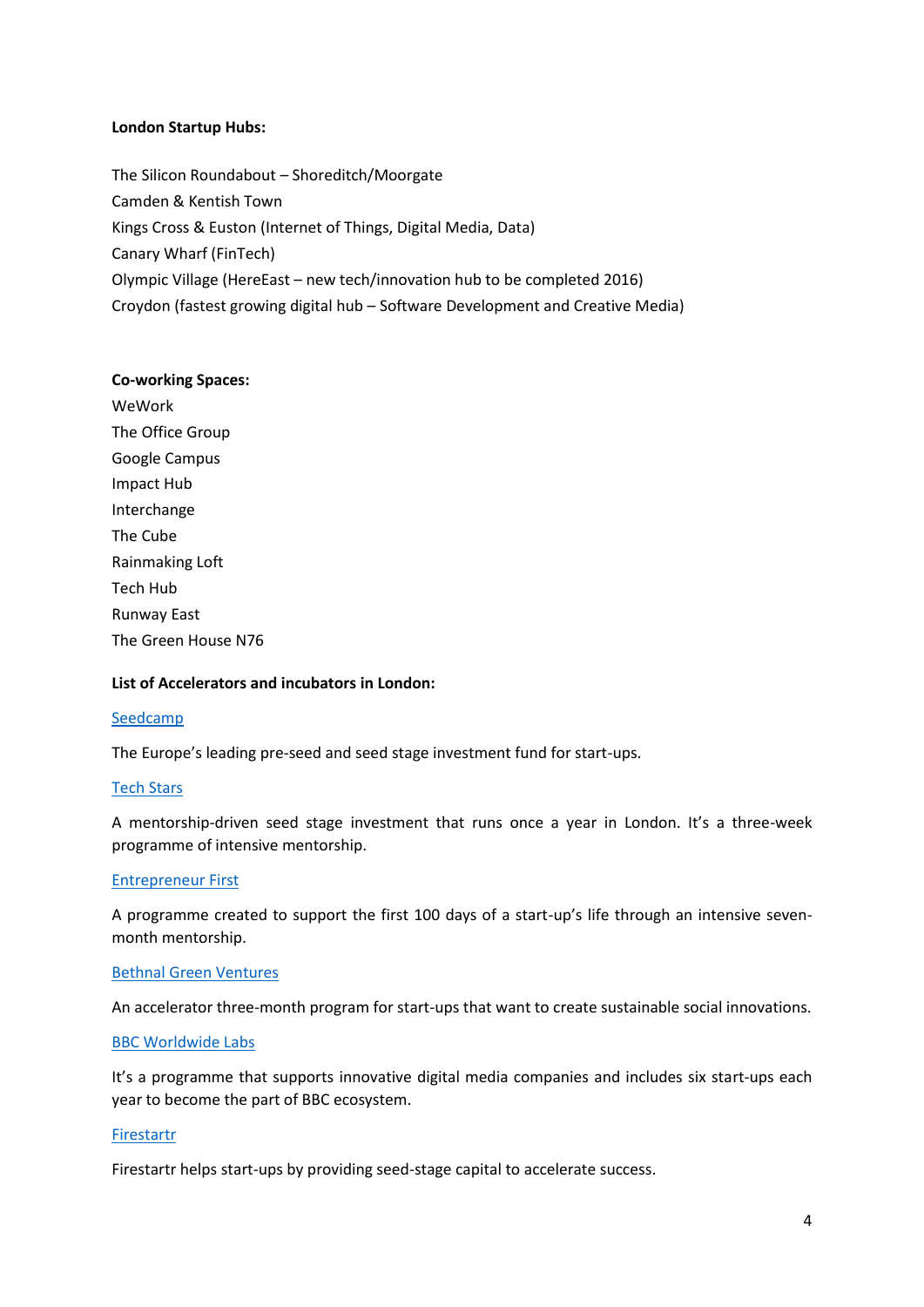#### **London Startup Hubs:**

The Silicon Roundabout – Shoreditch/Moorgate Camden & Kentish Town Kings Cross & Euston (Internet of Things, Digital Media, Data) Canary Wharf (FinTech) Olympic Village (HereEast – new tech/innovation hub to be completed 2016) Croydon (fastest growing digital hub – Software Development and Creative Media)

#### **Co-working Spaces:**

WeWork The Office Group Google Campus Impact Hub Interchange The Cube Rainmaking Loft Tech Hub Runway East The Green House N76

#### **List of Accelerators and incubators in London:**

#### [Seedcamp](http://seedcamp.com/)

The Europe's leading pre-seed and seed stage investment fund for start-ups.

#### [Tech Stars](http://www.techstars.com/program/locations/london/)

A mentorship-driven seed stage investment that runs once a year in London. It's a three-week programme of intensive mentorship.

#### [Entrepreneur First](http://www.entrepreneurfirst.org.uk/)

A programme created to support the first 100 days of a start-up's life through an intensive sevenmonth mentorship.

#### [Bethnal Green Ventures](http://bethnalgreenventures.com/)

An accelerator three-month program for start-ups that want to create sustainable social innovations.

#### [BBC Worldwide Labs](http://www.bbcwlabs.com/)

It's a programme that supports innovative digital media companies and includes six start-ups each year to become the part of BBC ecosystem.

#### [Firestartr](http://www.firestartr.co/)

Firestartr helps start-ups by providing seed-stage capital to accelerate success.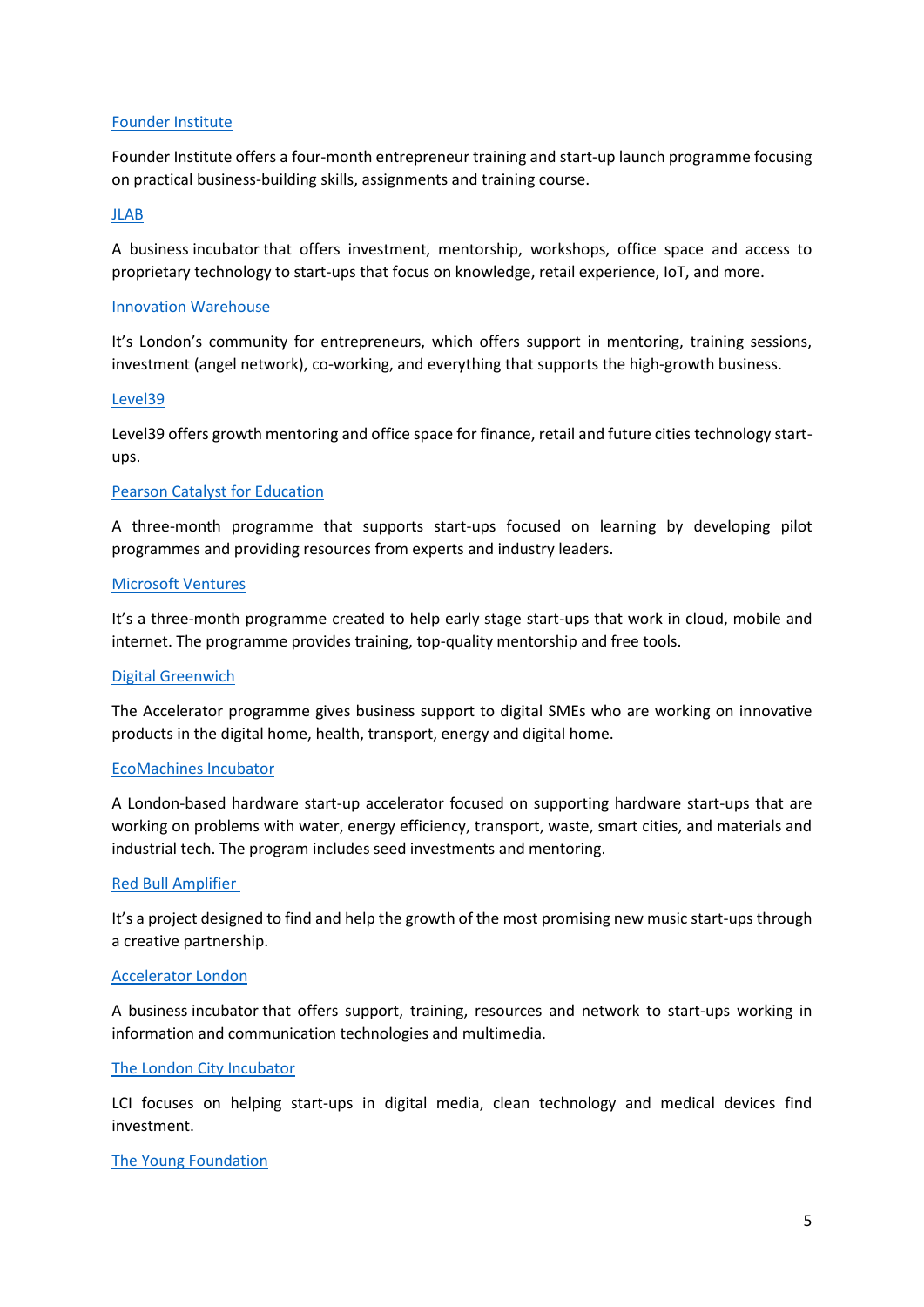#### [Founder Institute](http://fi.co/)

Founder Institute offers a four-month entrepreneur training and start-up launch programme focusing on practical business-building skills, assignments and training course.

#### [JLAB](http://jlab.co.uk/)

A business incubator that offers investment, mentorship, workshops, office space and access to proprietary technology to start-ups that focus on knowledge, retail experience, IoT, and more.

#### [Innovation Warehouse](http://www.innovationwarehouse.org/)

It's London's community for entrepreneurs, which offers support in mentoring, training sessions, investment (angel network), co-working, and everything that supports the high-growth business.

#### [Level39](http://www.level39.co/)

Level39 offers growth mentoring and office space for finance, retail and future cities technology startups.

#### [Pearson Catalyst for Education](http://catalyst.pearson.com/)

A three-month programme that supports start-ups focused on learning by developing pilot programmes and providing resources from experts and industry leaders.

#### [Microsoft Ventures](http://www.microsoftventures.com/)

It's a three-month programme created to help early stage start-ups that work in cloud, mobile and internet. The programme provides training, top-quality mentorship and free tools.

#### [Digital Greenwich](http://www.digitalgreenwich.com/)

The Accelerator programme gives business support to digital SMEs who are working on innovative products in the digital home, health, transport, energy and digital home.

#### [EcoMachines](http://www.ecomachinesincubator.com/) Incubator

A London-based hardware start-up accelerator focused on supporting hardware start-ups that are working on problems with water, energy efficiency, transport, waste, smart cities, and materials and industrial tech. The program includes seed investments and mentoring.

#### [Red Bull Amplifier](http://www.redbullamplifier.com/)

It's a project designed to find and help the growth of the most promising new music start-ups through a creative partnership.

#### [Accelerator London](http://www.accelerator-london.com/)

A business incubator that offers support, training, resources and network to start-ups working in information and communication technologies and multimedia.

#### [The London City](http://www.city.ac.uk/research/research/support-for-staff/city-schemes/lci) Incubator

LCI focuses on helping start-ups in digital media, clean technology and medical devices find investment.

#### [The Young Foundation](http://youngfoundation.org/)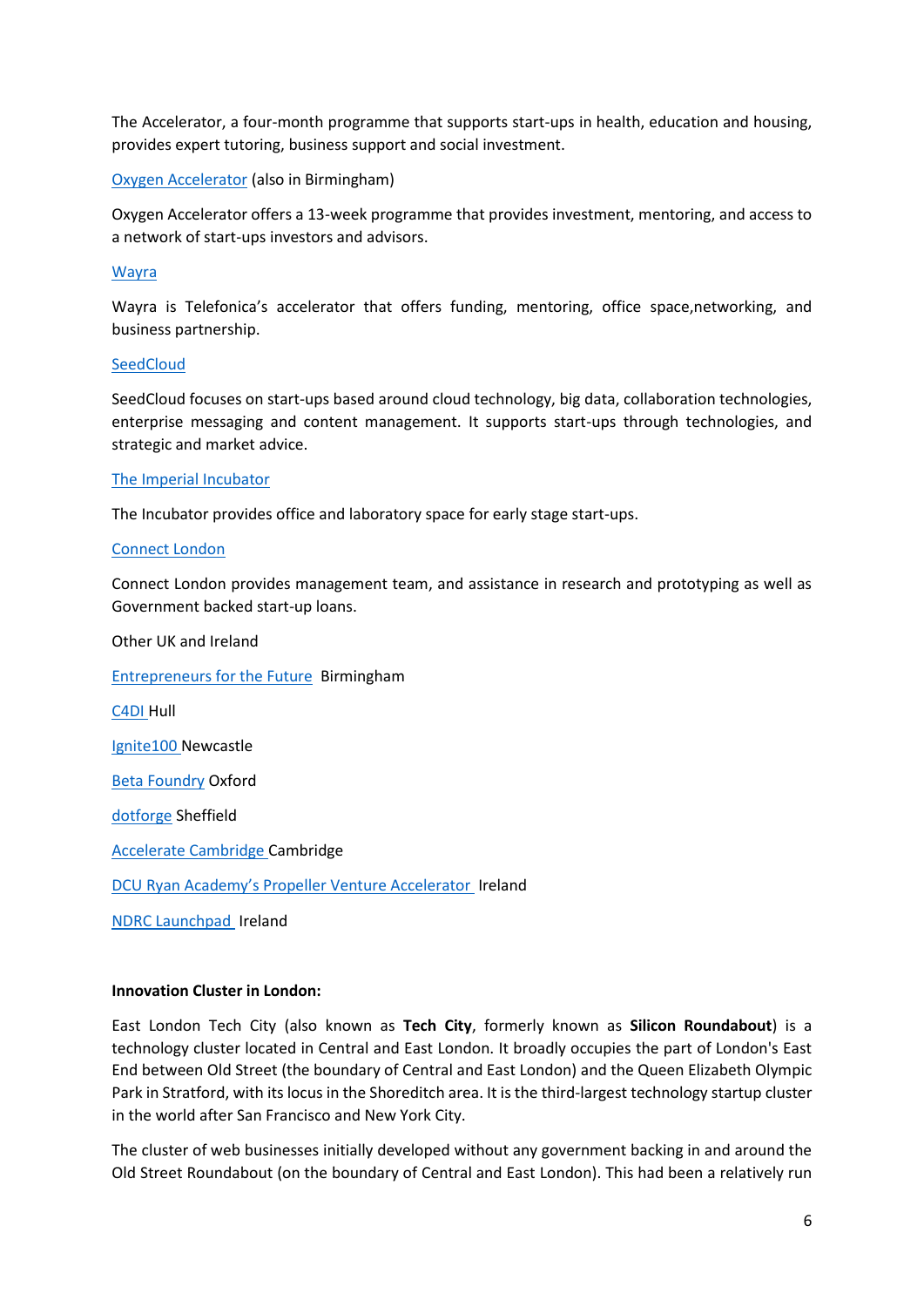The Accelerator, a four-month programme that supports start-ups in health, education and housing, provides expert tutoring, business support and social investment.

#### [Oxygen Accelerator](http://www.oxygenaccelerator.com/) (also in Birmingham)

Oxygen Accelerator offers a 13-week programme that provides investment, mentoring, and access to a network of start-ups investors and advisors.

#### [Wayra](http://wayra.co/)

Wayra is Telefonica's accelerator that offers funding, mentoring, office space,networking, and business partnership.

#### **[SeedCloud](http://www.seedcloud.com/)**

SeedCloud focuses on start-ups based around cloud technology, big data, collaboration technologies, enterprise messaging and content management. It supports start-ups through technologies, and strategic and market advice.

#### [The Imperial](http://www.imperialinnovations.co.uk/technology-transfer/incubator/) Incubator

The Incubator provides office and laboratory space for early stage start-ups.

#### [Connect London](http://www.connectlondon.org/)

Connect London provides management team, and assistance in research and prototyping as well as Government backed start-up loans.

Other UK and Ireland [Entrepreneurs for the Future](http://e4f.co.uk/) Birmingham [C4DI](http://www.c4di.net/) Hull [Ignite100](http://ignite100.com/) Newcastle [Beta Foundry](http://betafoundry.com/) Oxford [dotforge](http://dotforgeaccelerator.com/) Sheffield [Accelerate Cambridge](http://www.jbs.cam.ac.uk/faculty-research/centres/accelerate-cambridge/programmes/) Cambridge [DCU Ryan Academy's Propeller Venture Accelerator](http://www.ryanacademy.ie/) Ireland [NDRC Launchpad](http://www.ndrc.ie/) Ireland

#### **Innovation Cluster in London:**

East London Tech City (also known as **Tech City**, formerly known as **Silicon Roundabout**) is a technology cluster located in Central and East London. It broadly occupies the part of London's East End between Old Street (the boundary of Central and East London) and the Queen Elizabeth Olympic Park in Stratford, with its locus in the Shoreditch area. It is the third-largest technology startup cluster in the world after San Francisco and New York City.

The cluster of web businesses initially developed without any government backing in and around the Old Street Roundabout (on the boundary of Central and East London). This had been a relatively run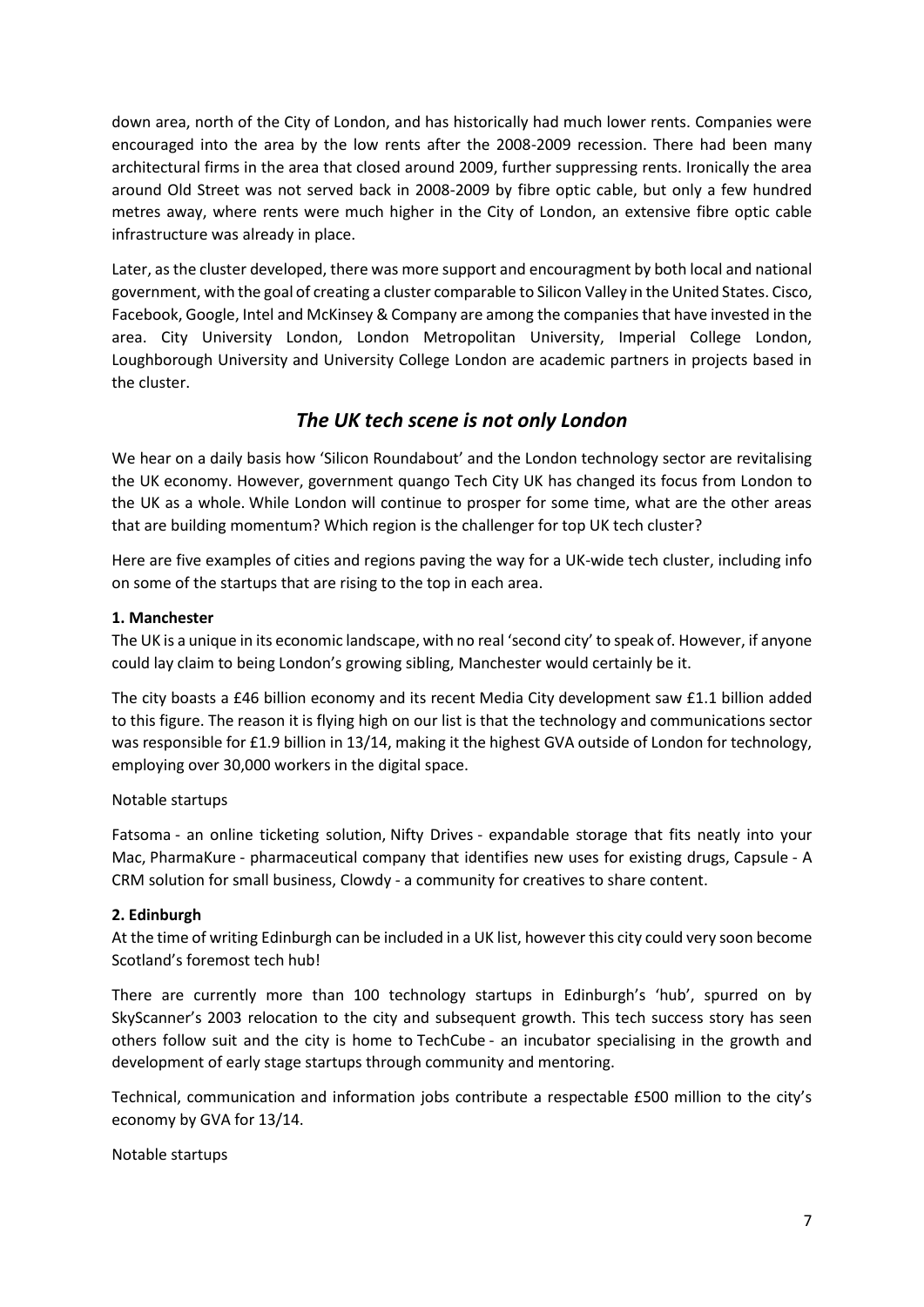down area, north of the City of London, and has historically had much lower rents. Companies were encouraged into the area by the low rents after the 2008-2009 recession. There had been many architectural firms in the area that closed around 2009, further suppressing rents. Ironically the area around Old Street was not served back in 2008-2009 by fibre optic cable, but only a few hundred metres away, where rents were much higher in the City of London, an extensive fibre optic cable infrastructure was already in place.

Later, as the cluster developed, there was more support and encouragment by both local and national government, with the goal of creating a cluster comparable to Silicon Valley in the United States. Cisco, Facebook, Google, Intel and McKinsey & Company are among the companies that have invested in the area. City University London, London Metropolitan University, Imperial College London, Loughborough University and University College London are academic partners in projects based in the cluster.

#### *The UK tech scene is not only London*

We hear on a daily basis how 'Silicon Roundabout' and the London technology sector are revitalising the UK economy. However, government quango Tech City UK has changed its focus from London to the UK as a whole. While London will continue to prosper for some time, what are the other areas that are building momentum? Which region is the challenger for top UK tech cluster?

Here are five examples of cities and regions paving the way for a UK-wide tech cluster, including info on some of the startups that are rising to the top in each area.

#### **1. Manchester**

The UK is a unique in its economic landscape, with no real 'second city' to speak of. However, if anyone could lay claim to being London's growing sibling, Manchester would certainly be it.

The city boasts a £46 billion economy and its recent Media City development saw £1.1 billion added to this figure. The reason it is flying high on our list is that the technology and communications sector was responsible for £1.9 billion in 13/14, making it the highest GVA outside of London for technology, employing over 30,000 workers in the digital space.

#### Notable startups

Fatsoma - an online ticketing solution, Nifty Drives - expandable storage that fits neatly into your Mac, PharmaKure - pharmaceutical company that identifies new uses for existing drugs, Capsule - A CRM solution for small business, Clowdy - a community for creatives to share content.

#### **2. Edinburgh**

At the time of writing Edinburgh can be included in a UK list, however this city could very soon become Scotland's foremost tech hub!

There are currently more than 100 technology startups in Edinburgh's 'hub', spurred on by SkyScanner's 2003 relocation to the city and subsequent growth. This tech success story has seen others follow suit and the city is home to TechCube - an incubator specialising in the growth and development of early stage startups through community and mentoring.

Technical, communication and information jobs contribute a respectable £500 million to the city's economy by GVA for 13/14.

#### Notable startups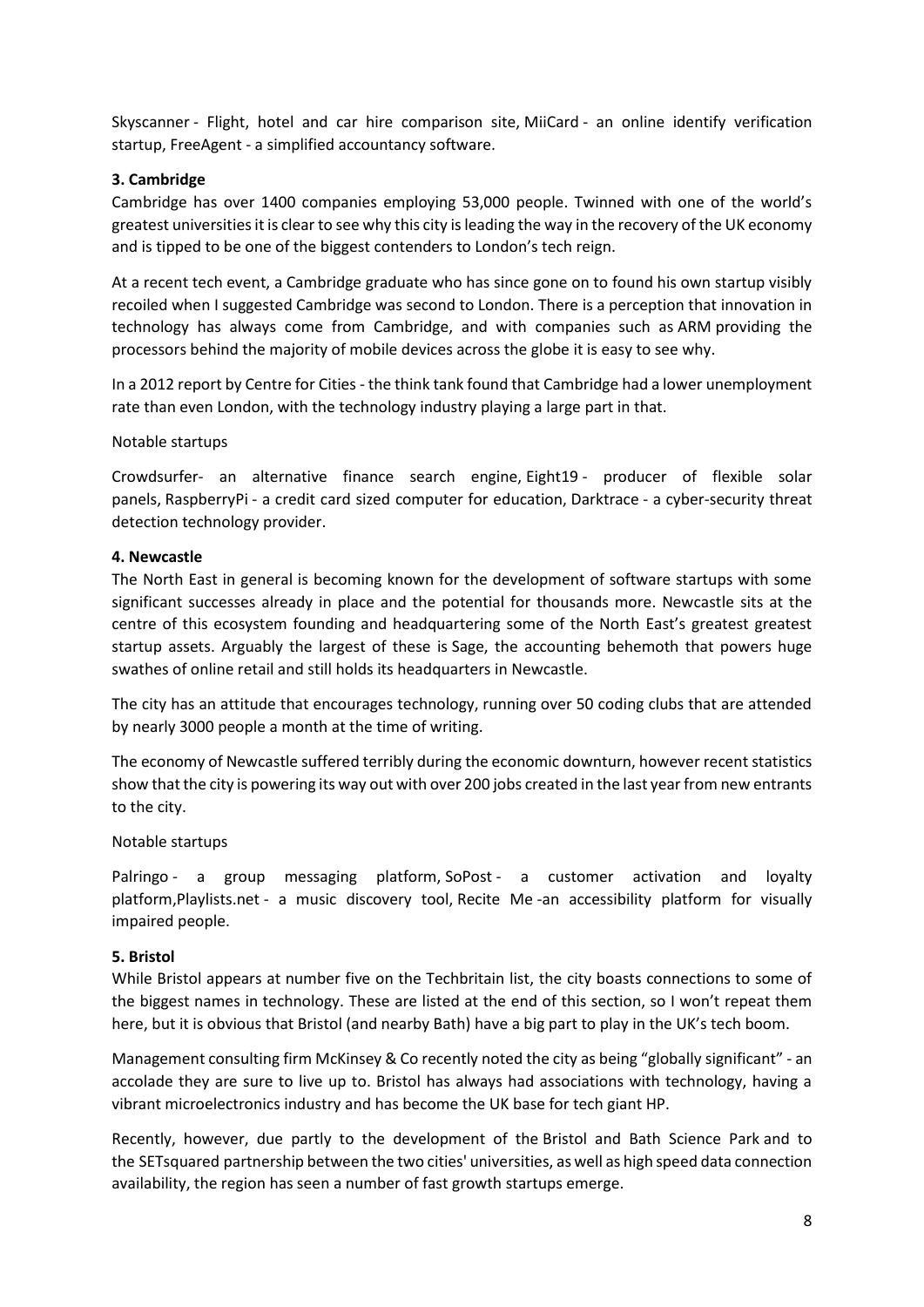Skyscanner - Flight, hotel and car hire comparison site, MiiCard - an online identify verification startup, FreeAgent - a simplified accountancy software.

#### **3. Cambridge**

Cambridge has over 1400 companies employing 53,000 people. Twinned with one of the world's greatest universities it is clear to see why this city is leading the way in the recovery of the UK economy and is tipped to be one of the biggest contenders to London's tech reign.

At a recent tech event, a Cambridge graduate who has since gone on to found his own startup visibly recoiled when I suggested Cambridge was second to London. There is a perception that innovation in technology has always come from Cambridge, and with companies such as ARM providing the processors behind the majority of mobile devices across the globe it is easy to see why.

In a 2012 report by Centre for Cities - the think tank found that Cambridge had a lower unemployment rate than even London, with the technology industry playing a large part in that.

Notable startups

Crowdsurfer- an alternative finance search engine, Eight19 - producer of flexible solar panels, RaspberryPi - a credit card sized computer for education, Darktrace - a cyber-security threat detection technology provider.

#### **4. Newcastle**

The North East in general is becoming known for the development of software startups with some significant successes already in place and the potential for thousands more. Newcastle sits at the centre of this ecosystem founding and headquartering some of the North East's greatest greatest startup assets. Arguably the largest of these is Sage, the accounting behemoth that powers huge swathes of online retail and still holds its headquarters in Newcastle.

The city has an attitude that encourages technology, running over 50 coding clubs that are attended by nearly 3000 people a month at the time of writing.

The economy of Newcastle suffered terribly during the economic downturn, however recent statistics show that the city is powering its way out with over 200 jobs created in the last year from new entrants to the city.

#### Notable startups

Palringo - a group messaging platform, SoPost - a customer activation and loyalty platform,Playlists.net - a music discovery tool, Recite Me -an accessibility platform for visually impaired people.

#### **5. Bristol**

While Bristol appears at number five on the Techbritain list, the city boasts connections to some of the biggest names in technology. These are listed at the end of this section, so I won't repeat them here, but it is obvious that Bristol (and nearby Bath) have a big part to play in the UK's tech boom.

Management consulting firm McKinsey & Co recently noted the city as being "globally significant" - an accolade they are sure to live up to. Bristol has always had associations with technology, having a vibrant microelectronics industry and has become the UK base for tech giant HP.

Recently, however, due partly to the development of the Bristol and Bath Science Park and to the SETsquared partnership between the two cities' universities, as well as high speed data connection availability, the region has seen a number of fast growth startups emerge.